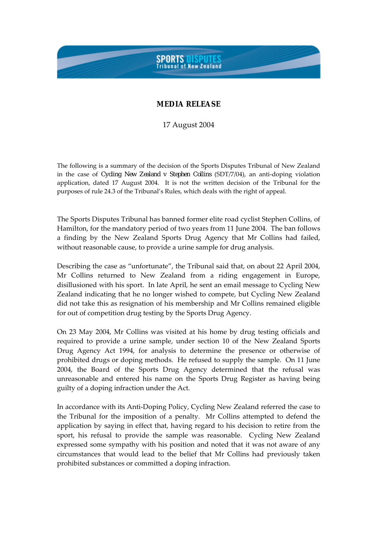## **SPORTS DISPUTES**<br>Tribunal of New Zealand

## **MEDIA RELEASE**

17 August 2004

The following is a summary of the decision of the Sports Disputes Tribunal of New Zealand in the case of *Cycling New Zealand v Stephen Collins* (SDT/7/04), an anti-doping violation application, dated 17 August 2004. It is not the written decision of the Tribunal for the purposes of rule 24.3 of the Tribunal's Rules, which deals with the right of appeal.

The Sports Disputes Tribunal has banned former elite road cyclist Stephen Collins, of Hamilton, for the mandatory period of two years from 11 June 2004. The ban follows a finding by the New Zealand Sports Drug Agency that Mr Collins had failed, without reasonable cause, to provide a urine sample for drug analysis.

Describing the case as "unfortunate", the Tribunal said that, on about 22 April 2004, Mr Collins returned to New Zealand from a riding engagement in Europe, disillusioned with his sport. In late April, he sent an email message to Cycling New Zealand indicating that he no longer wished to compete, but Cycling New Zealand did not take this as resignation of his membership and Mr Collins remained eligible for out of competition drug testing by the Sports Drug Agency.

On 23 May 2004, Mr Collins was visited at his home by drug testing officials and required to provide a urine sample, under section 10 of the New Zealand Sports Drug Agency Act 1994, for analysis to determine the presence or otherwise of prohibited drugs or doping methods. He refused to supply the sample. On 11 June 2004, the Board of the Sports Drug Agency determined that the refusal was unreasonable and entered his name on the Sports Drug Register as having being guilty of a doping infraction under the Act.

In accordance with its Anti-Doping Policy, Cycling New Zealand referred the case to the Tribunal for the imposition of a penalty. Mr Collins attempted to defend the application by saying in effect that, having regard to his decision to retire from the sport, his refusal to provide the sample was reasonable. Cycling New Zealand expressed some sympathy with his position and noted that it was not aware of any circumstances that would lead to the belief that Mr Collins had previously taken prohibited substances or committed a doping infraction.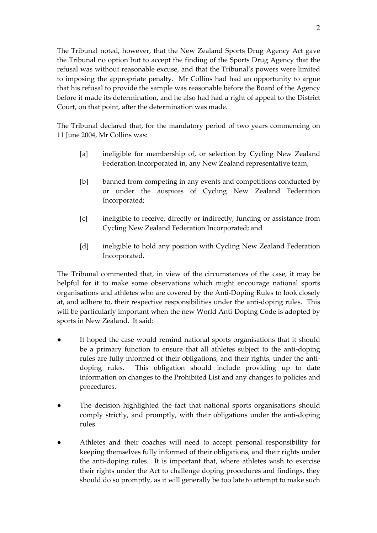The Tribunal noted, however, that the New Zealand Sports Drug Agency Act gave the Tribunal no option but to accept the finding of the Sports Drug Agency that the refusal was without reasonable excuse, and that the Tribunal's powers were limited to imposing the appropriate penalty. Mr Collins had had an opportunity to argue that his refusal to provide the sample was reasonable before the Board of the Agency before it made its determination, and he also had had a right of appeal to the District Court, on that point, after the determination was made.

The Tribunal declared that, for the mandatory period of two years commencing on 11 June 2004, Mr Collins was:

- [a] ineligible for membership of, or selection by Cycling New Zealand Federation Incorporated in, any New Zealand representative team;
- [b] banned from competing in any events and competitions conducted by or under the auspices of Cycling New Zealand Federation Incorporated;
- [c] ineligible to receive, directly or indirectly, funding or assistance from Cycling New Zealand Federation Incorporated; and
- [d] ineligible to hold any position with Cycling New Zealand Federation Incorporated.

The Tribunal commented that, in view of the circumstances of the case, it may be helpful for it to make some observations which might encourage national sports organisations and athletes who are covered by the Anti-Doping Rules to look closely at, and adhere to, their respective responsibilities under the anti-doping rules. This will be particularly important when the new World Anti-Doping Code is adopted by sports in New Zealand. It said:

- It hoped the case would remind national sports organisations that it should be a primary function to ensure that all athletes subject to the anti-doping rules are fully informed of their obligations, and their rights, under the antidoping rules. This obligation should include providing up to date information on changes to the Prohibited List and any changes to policies and procedures.
- The decision highlighted the fact that national sports organisations should comply strictly, and promptly, with their obligations under the anti-doping rules.
- Athletes and their coaches will need to accept personal responsibility for keeping themselves fully informed of their obligations, and their rights under the anti-doping rules. It is important that, where athletes wish to exercise their rights under the Act to challenge doping procedures and findings, they should do so promptly, as it will generally be too late to attempt to make such